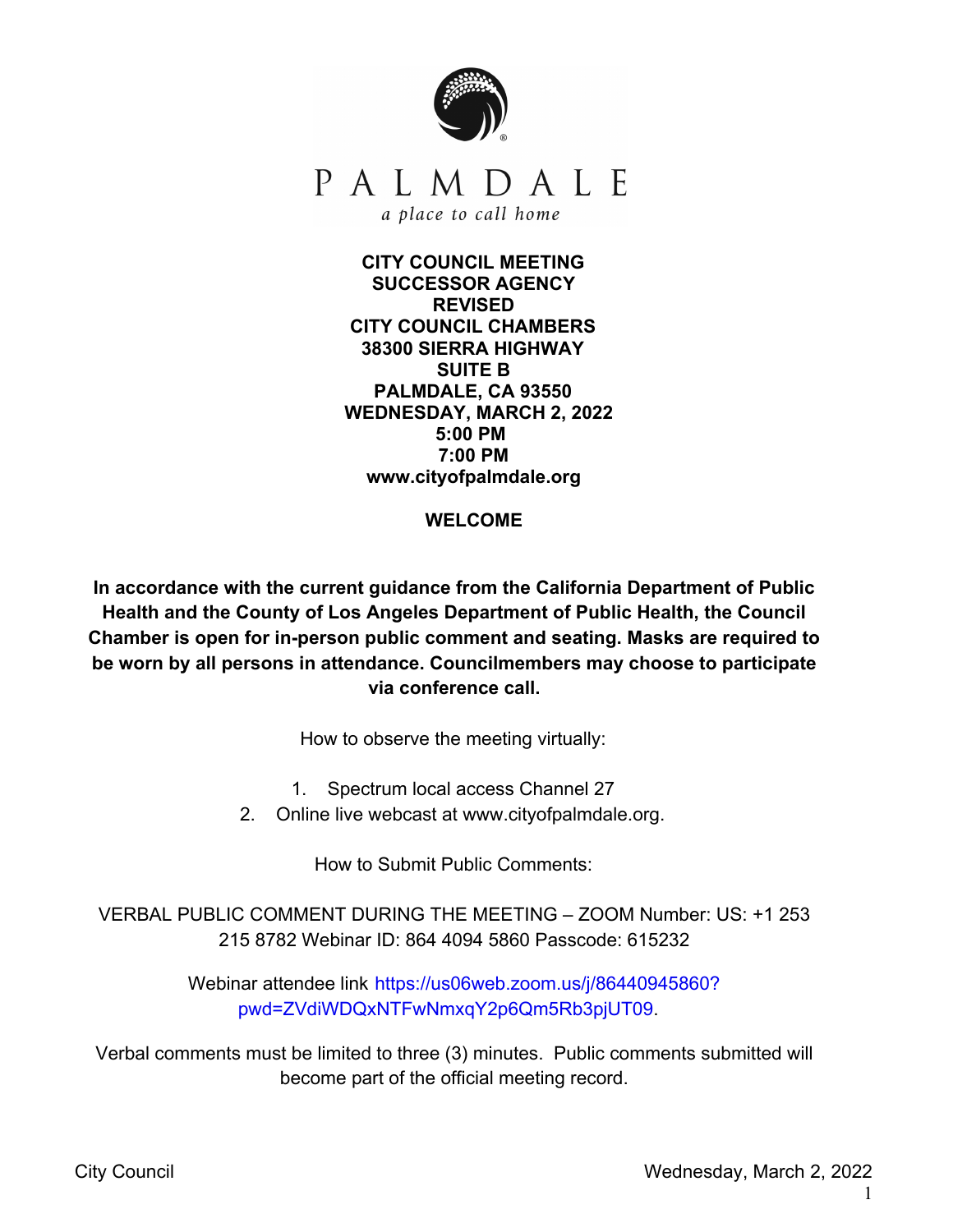

**CITY COUNCIL MEETING SUCCESSOR AGENCY REVISED CITY COUNCIL CHAMBERS 38300 SIERRA HIGHWAY SUITE B PALMDALE, CA 93550 WEDNESDAY, MARCH 2, 2022 5:00 PM 7:00 PM www.cityofpalmdale.org**

**WELCOME**

**In accordance with the current guidance from the California Department of Public Health and the County of Los Angeles Department of Public Health, the Council Chamber is open for in-person public comment and seating. Masks are required to be worn by all persons in attendance. Councilmembers may choose to participate via conference call.**

How to observe the meeting virtually:

1. Spectrum local access Channel 27

2. Online live webcast at www.cityofpalmdale.org.

How to Submit Public Comments:

VERBAL PUBLIC COMMENT DURING THE MEETING – ZOOM Number: US: +1 253 215 8782 Webinar ID: 864 4094 5860 Passcode: 615232

> Webinar attendee link https://us06web.zoom.us/j/86440945860? pwd=ZVdiWDQxNTFwNmxqY2p6Qm5Rb3pjUT09.

Verbal comments must be limited to three (3) minutes. Public comments submitted will become part of the official meeting record.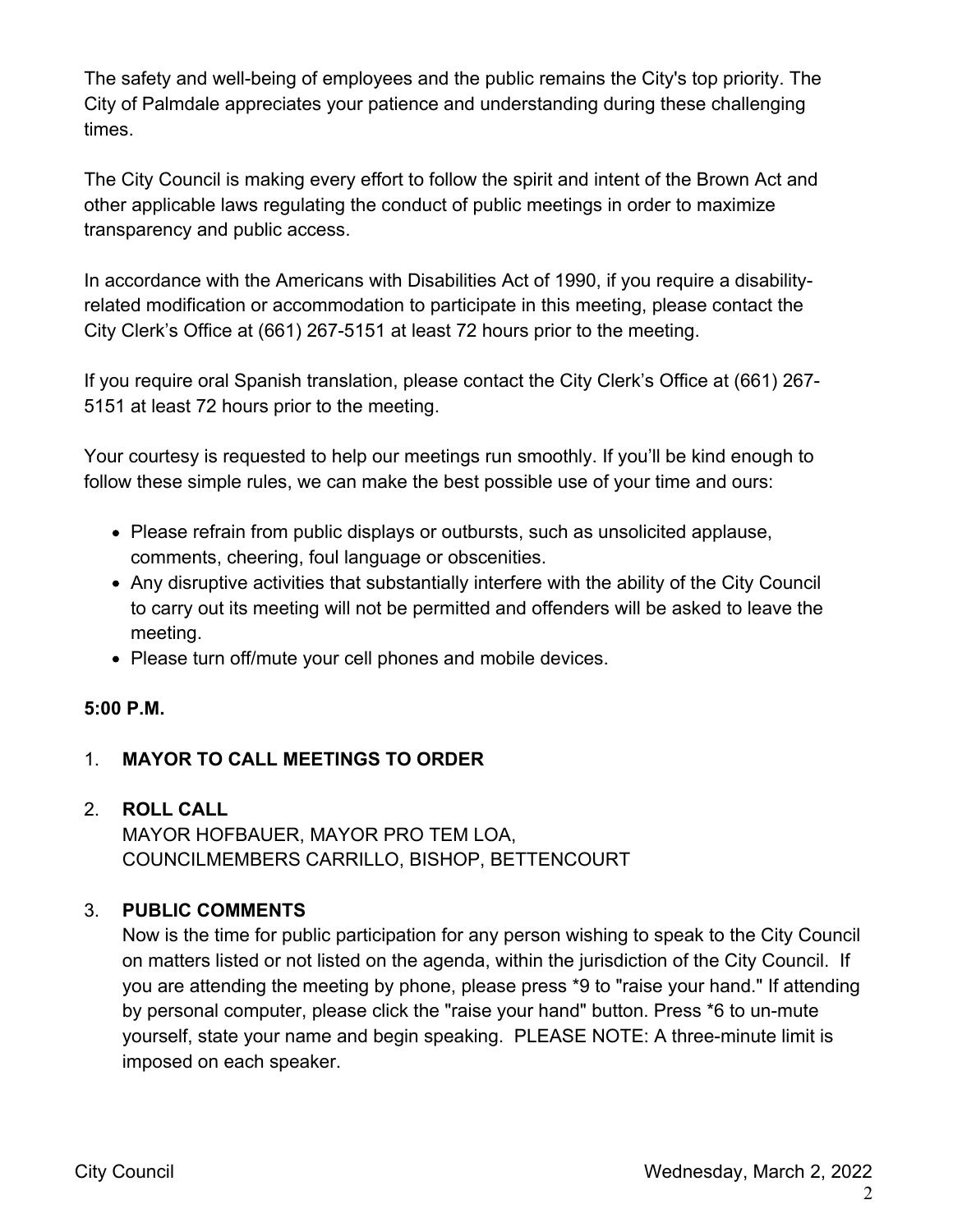The safety and well-being of employees and the public remains the City's top priority. The City of Palmdale appreciates your patience and understanding during these challenging times.

The City Council is making every effort to follow the spirit and intent of the Brown Act and other applicable laws regulating the conduct of public meetings in order to maximize transparency and public access.

In accordance with the Americans with Disabilities Act of 1990, if you require a disabilityrelated modification or accommodation to participate in this meeting, please contact the City Clerk's Office at (661) 267-5151 at least 72 hours prior to the meeting.

If you require oral Spanish translation, please contact the City Clerk's Office at (661) 267- 5151 at least 72 hours prior to the meeting.

Your courtesy is requested to help our meetings run smoothly. If you'll be kind enough to follow these simple rules, we can make the best possible use of your time and ours:

- Please refrain from public displays or outbursts, such as unsolicited applause, comments, cheering, foul language or obscenities.
- Any disruptive activities that substantially interfere with the ability of the City Council to carry out its meeting will not be permitted and offenders will be asked to leave the meeting.
- Please turn off/mute your cell phones and mobile devices.

#### **5:00 P.M.**

## 1. **MAYOR TO CALL MEETINGS TO ORDER**

# 2. **ROLL CALL** MAYOR HOFBAUER, MAYOR PRO TEM LOA,

COUNCILMEMBERS CARRILLO, BISHOP, BETTENCOURT

## 3. **PUBLIC COMMENTS**

Now is the time for public participation for any person wishing to speak to the City Council on matters listed or not listed on the agenda, within the jurisdiction of the City Council. If you are attending the meeting by phone, please press \*9 to "raise your hand." If attending by personal computer, please click the "raise your hand" button. Press \*6 to un-mute yourself, state your name and begin speaking. PLEASE NOTE: A three-minute limit is imposed on each speaker.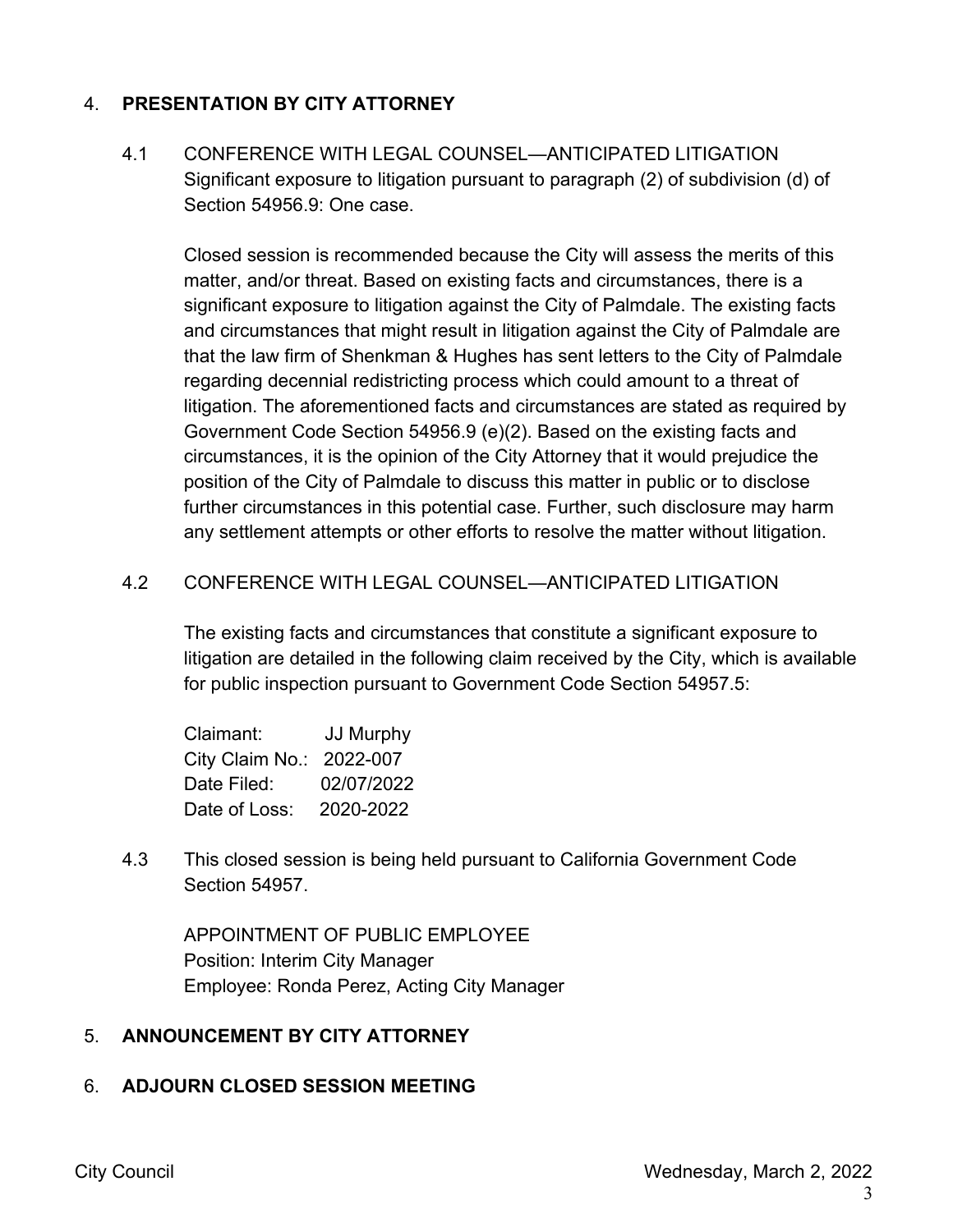#### 4. **PRESENTATION BY CITY ATTORNEY**

4.1 CONFERENCE WITH LEGAL COUNSEL—ANTICIPATED LITIGATION Significant exposure to litigation pursuant to paragraph (2) of subdivision (d) of Section 54956.9: One case.

Closed session is recommended because the City will assess the merits of this matter, and/or threat. Based on existing facts and circumstances, there is a significant exposure to litigation against the City of Palmdale. The existing facts and circumstances that might result in litigation against the City of Palmdale are that the law firm of Shenkman & Hughes has sent letters to the City of Palmdale regarding decennial redistricting process which could amount to a threat of litigation. The aforementioned facts and circumstances are stated as required by Government Code Section 54956.9 (e)(2). Based on the existing facts and circumstances, it is the opinion of the City Attorney that it would prejudice the position of the City of Palmdale to discuss this matter in public or to disclose further circumstances in this potential case. Further, such disclosure may harm any settlement attempts or other efforts to resolve the matter without litigation.

#### 4.2 CONFERENCE WITH LEGAL COUNSEL—ANTICIPATED LITIGATION

The existing facts and circumstances that constitute a significant exposure to litigation are detailed in the following claim received by the City, which is available for public inspection pursuant to Government Code Section 54957.5:

| Claimant:                | <b>JJ Murphy</b> |
|--------------------------|------------------|
| City Claim No.: 2022-007 |                  |
| Date Filed:              | 02/07/2022       |
| Date of Loss:            | 2020-2022        |

4.3 This closed session is being held pursuant to California Government Code Section 54957.

APPOINTMENT OF PUBLIC EMPLOYEE Position: Interim City Manager Employee: Ronda Perez, Acting City Manager

#### 5. **ANNOUNCEMENT BY CITY ATTORNEY**

#### 6. **ADJOURN CLOSED SESSION MEETING**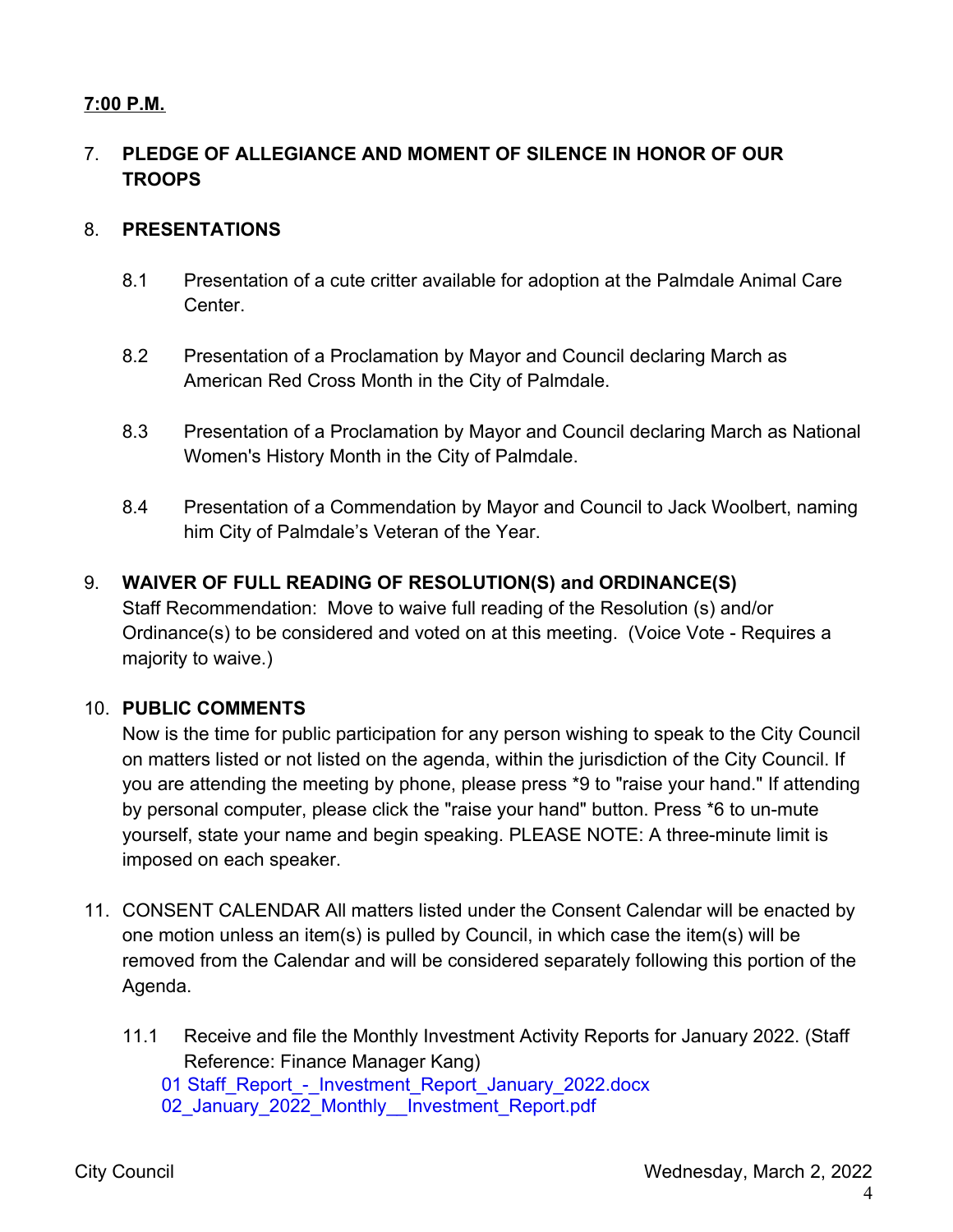## **7:00 P.M.**

## 7. **PLEDGE OF ALLEGIANCE AND MOMENT OF SILENCE IN HONOR OF OUR TROOPS**

#### 8. **PRESENTATIONS**

- 8.1 Presentation of a cute critter available for adoption at the Palmdale Animal Care Center.
- 8.2 Presentation of a Proclamation by Mayor and Council declaring March as American Red Cross Month in the City of Palmdale.
- 8.3 Presentation of a Proclamation by Mayor and Council declaring March as National Women's History Month in the City of Palmdale.
- 8.4 Presentation of a Commendation by Mayor and Council to Jack Woolbert, naming him City of Palmdale's Veteran of the Year.

#### 9. **WAIVER OF FULL READING OF RESOLUTION(S) and ORDINANCE(S)**

Staff Recommendation: Move to waive full reading of the Resolution (s) and/or Ordinance(s) to be considered and voted on at this meeting. (Voice Vote - Requires a majority to waive.)

#### 10. **PUBLIC COMMENTS**

Now is the time for public participation for any person wishing to speak to the City Council on matters listed or not listed on the agenda, within the jurisdiction of the City Council. If you are attending the meeting by phone, please press \*9 to "raise your hand." If attending by personal computer, please click the "raise your hand" button. Press \*6 to un-mute yourself, state your name and begin speaking. PLEASE NOTE: A three-minute limit is imposed on each speaker.

- 11. CONSENT CALENDAR All matters listed under the Consent Calendar will be enacted by one motion unless an item(s) is pulled by Council, in which case the item(s) will be removed from the Calendar and will be considered separately following this portion of the Agenda.
	- 11.1 Receive and file the Monthly Investment Activity Reports for January 2022. (Staff Reference: Finance Manager Kang) 01 Staff\_Report - Investment\_Report\_January\_2022.docx 02 January 2022 Monthly Investment Report.pdf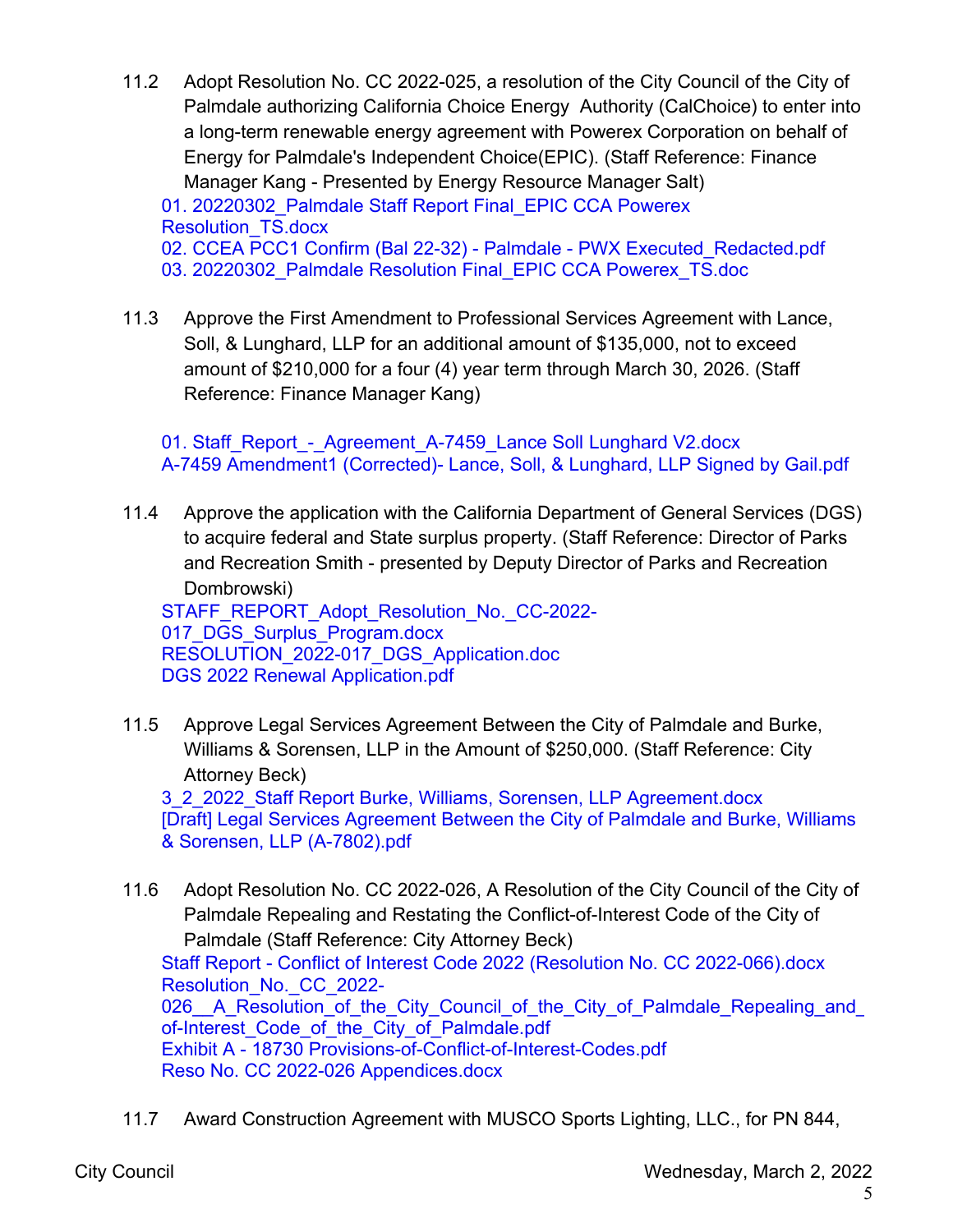- 11.2 Adopt Resolution No. CC 2022-025, a resolution of the City Council of the City of Palmdale authorizing California Choice Energy Authority (CalChoice) to enter into a long-term renewable energy agreement with Powerex Corporation on behalf of Energy for Palmdale's Independent Choice(EPIC). (Staff Reference: Finance Manager Kang - Presented by Energy Resource Manager Salt) 01. 20220302 Palmdale Staff Report Final EPIC CCA Powerex Resolution\_TS.docx 02. CCEA PCC1 Confirm (Bal 22-32) - Palmdale - PWX Executed Redacted.pdf 03. 20220302 Palmdale Resolution Final EPIC CCA Powerex TS.doc
- 11.3 Approve the First Amendment to Professional Services Agreement with Lance, Soll, & Lunghard, LLP for an additional amount of \$135,000, not to exceed amount of \$210,000 for a four (4) year term through March 30, 2026. (Staff Reference: Finance Manager Kang)

01. Staff\_Report - Agreement A-7459 Lance Soll Lunghard V2.docx A-7459 Amendment1 (Corrected)- Lance, Soll, & Lunghard, LLP Signed by Gail.pdf

11.4 Approve the application with the California Department of General Services (DGS) to acquire federal and State surplus property. (Staff Reference: Director of Parks and Recreation Smith - presented by Deputy Director of Parks and Recreation Dombrowski)

STAFF\_REPORT\_Adopt\_Resolution\_No.\_CC-2022-017 DGS Surplus Program.docx RESOLUTION 2022-017 DGS Application.doc DGS 2022 Renewal Application.pdf

11.5 Approve Legal Services Agreement Between the City of Palmdale and Burke, Williams & Sorensen, LLP in the Amount of \$250,000. (Staff Reference: City Attorney Beck)

3\_2\_2022\_Staff Report Burke, Williams, Sorensen, LLP Agreement.docx [Draft] Legal Services Agreement Between the City of Palmdale and Burke, Williams & Sorensen, LLP (A-7802).pdf

- 11.6 Adopt Resolution No. CC 2022-026, A Resolution of the City Council of the City of Palmdale Repealing and Restating the Conflict-of-Interest Code of the City of Palmdale (Staff Reference: City Attorney Beck) Staff Report - Conflict of Interest Code 2022 (Resolution No. CC 2022-066).docx Resolution No. CC 2022-026 A Resolution of the City Council of the City of Palmdale Repealing and of-Interest Code of the City of Palmdale.pdf Exhibit A - 18730 Provisions-of-Conflict-of-Interest-Codes.pdf Reso No. CC 2022-026 Appendices.docx
- 11.7 Award Construction Agreement with MUSCO Sports Lighting, LLC., for PN 844,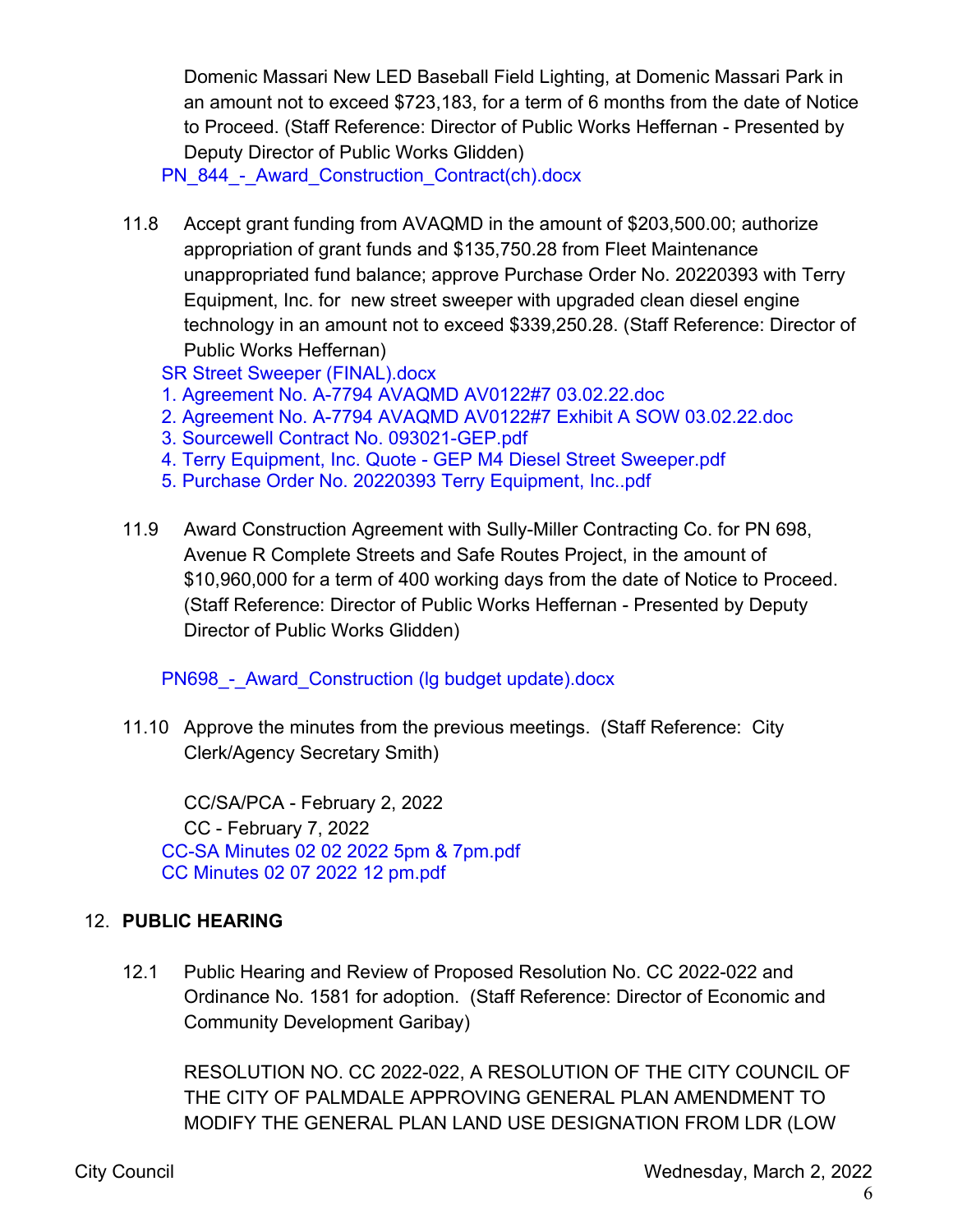Domenic Massari New LED Baseball Field Lighting, at Domenic Massari Park in an amount not to exceed \$723,183, for a term of 6 months from the date of Notice to Proceed. (Staff Reference: Director of Public Works Heffernan - Presented by Deputy Director of Public Works Glidden)

PN 844 - Award Construction Contract(ch).docx

11.8 Accept grant funding from AVAQMD in the amount of \$203,500.00; authorize appropriation of grant funds and \$135,750.28 from Fleet Maintenance unappropriated fund balance; approve Purchase Order No. 20220393 with Terry Equipment, Inc. for new street sweeper with upgraded clean diesel engine technology in an amount not to exceed \$339,250.28. (Staff Reference: Director of Public Works Heffernan)

SR Street Sweeper (FINAL).docx

- 1. Agreement No. A-7794 AVAQMD AV0122#7 03.02.22.doc
- 2. Agreement No. A-7794 AVAQMD AV0122#7 Exhibit A SOW 03.02.22.doc
- 3. Sourcewell Contract No. 093021-GEP.pdf
- 4. Terry Equipment, Inc. Quote GEP M4 Diesel Street Sweeper.pdf
- 5. Purchase Order No. 20220393 Terry Equipment, Inc..pdf
- 11.9 Award Construction Agreement with Sully-Miller Contracting Co. for PN 698, Avenue R Complete Streets and Safe Routes Project, in the amount of \$10,960,000 for a term of 400 working days from the date of Notice to Proceed. (Staff Reference: Director of Public Works Heffernan - Presented by Deputy Director of Public Works Glidden)

PN698 - Award Construction (Ig budget update).docx

11.10 Approve the minutes from the previous meetings. (Staff Reference: City Clerk/Agency Secretary Smith)

CC/SA/PCA - February 2, 2022 CC - February 7, 2022 CC-SA Minutes 02 02 2022 5pm & 7pm.pdf CC Minutes 02 07 2022 12 pm.pdf

#### 12. **PUBLIC HEARING**

12.1 Public Hearing and Review of Proposed Resolution No. CC 2022-022 and Ordinance No. 1581 for adoption. (Staff Reference: Director of Economic and Community Development Garibay)

RESOLUTION NO. CC 2022-022, A RESOLUTION OF THE CITY COUNCIL OF THE CITY OF PALMDALE APPROVING GENERAL PLAN AMENDMENT TO MODIFY THE GENERAL PLAN LAND USE DESIGNATION FROM LDR (LOW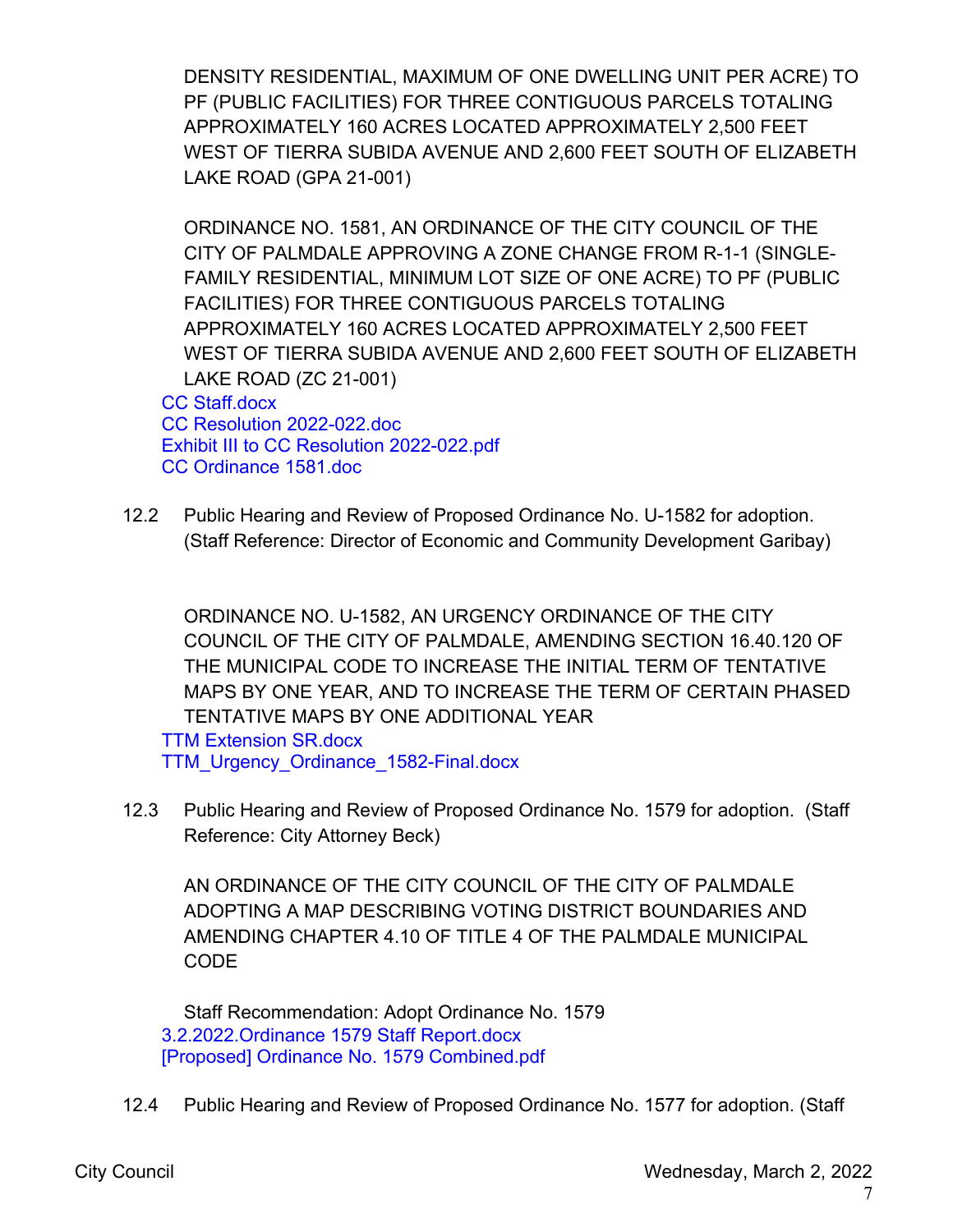DENSITY RESIDENTIAL, MAXIMUM OF ONE DWELLING UNIT PER ACRE) TO PF (PUBLIC FACILITIES) FOR THREE CONTIGUOUS PARCELS TOTALING APPROXIMATELY 160 ACRES LOCATED APPROXIMATELY 2,500 FEET WEST OF TIERRA SUBIDA AVENUE AND 2,600 FEET SOUTH OF ELIZABETH LAKE ROAD (GPA 21-001)

ORDINANCE NO. 1581, AN ORDINANCE OF THE CITY COUNCIL OF THE CITY OF PALMDALE APPROVING A ZONE CHANGE FROM R-1-1 (SINGLE-FAMILY RESIDENTIAL, MINIMUM LOT SIZE OF ONE ACRE) TO PF (PUBLIC FACILITIES) FOR THREE CONTIGUOUS PARCELS TOTALING APPROXIMATELY 160 ACRES LOCATED APPROXIMATELY 2,500 FEET WEST OF TIERRA SUBIDA AVENUE AND 2,600 FEET SOUTH OF ELIZABETH LAKE ROAD (ZC 21-001)

CC Staff.docx CC Resolution 2022-022.doc Exhibit III to CC Resolution 2022-022.pdf CC Ordinance 1581.doc

12.2 Public Hearing and Review of Proposed Ordinance No. U-1582 for adoption. (Staff Reference: Director of Economic and Community Development Garibay)

ORDINANCE NO. U-1582, AN URGENCY ORDINANCE OF THE CITY COUNCIL OF THE CITY OF PALMDALE, AMENDING SECTION 16.40.120 OF THE MUNICIPAL CODE TO INCREASE THE INITIAL TERM OF TENTATIVE MAPS BY ONE YEAR, AND TO INCREASE THE TERM OF CERTAIN PHASED TENTATIVE MAPS BY ONE ADDITIONAL YEAR

TTM Extension SR.docx TTM\_Urgency\_Ordinance\_1582-Final.docx

12.3 Public Hearing and Review of Proposed Ordinance No. 1579 for adoption. (Staff Reference: City Attorney Beck)

AN ORDINANCE OF THE CITY COUNCIL OF THE CITY OF PALMDALE ADOPTING A MAP DESCRIBING VOTING DISTRICT BOUNDARIES AND AMENDING CHAPTER 4.10 OF TITLE 4 OF THE PALMDALE MUNICIPAL **CODE** 

Staff Recommendation: Adopt Ordinance No. 1579 3.2.2022.Ordinance 1579 Staff Report.docx [Proposed] Ordinance No. 1579 Combined.pdf

12.4 Public Hearing and Review of Proposed Ordinance No. 1577 for adoption. (Staff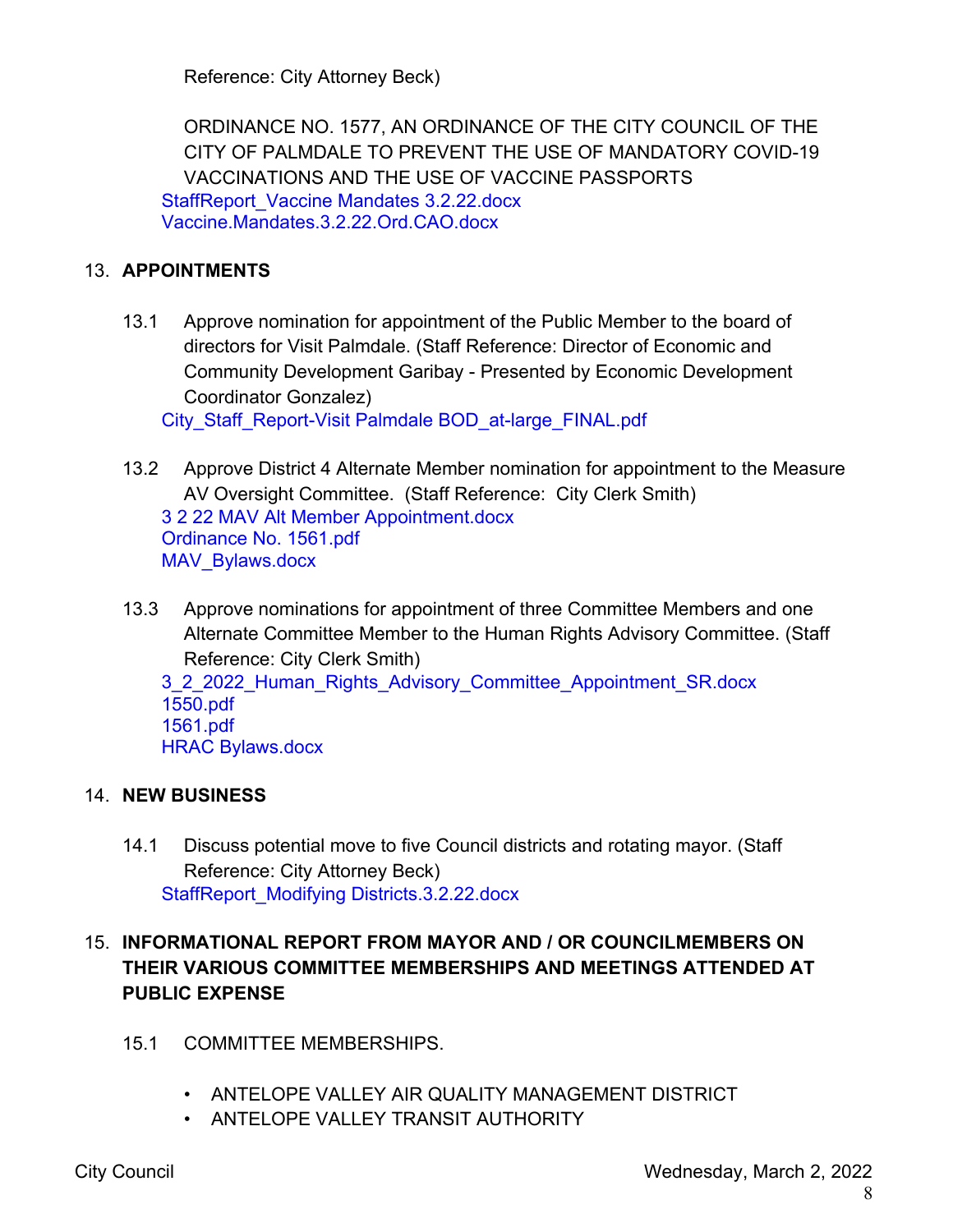Reference: City Attorney Beck)

ORDINANCE NO. 1577, AN ORDINANCE OF THE CITY COUNCIL OF THE CITY OF PALMDALE TO PREVENT THE USE OF MANDATORY COVID-19 VACCINATIONS AND THE USE OF VACCINE PASSPORTS StaffReport\_Vaccine Mandates 3.2.22.docx Vaccine.Mandates.3.2.22.Ord.CAO.docx

### 13. **APPOINTMENTS**

13.1 Approve nomination for appointment of the Public Member to the board of directors for Visit Palmdale. (Staff Reference: Director of Economic and Community Development Garibay - Presented by Economic Development Coordinator Gonzalez)

City\_Staff\_Report-Visit Palmdale BOD\_at-large\_FINAL.pdf

- 13.2 Approve District 4 Alternate Member nomination for appointment to the Measure AV Oversight Committee. (Staff Reference: City Clerk Smith) 3 2 22 MAV Alt Member Appointment.docx Ordinance No. 1561.pdf MAV Bylaws.docx
- 13.3 Approve nominations for appointment of three Committee Members and one Alternate Committee Member to the Human Rights Advisory Committee. (Staff Reference: City Clerk Smith)

3\_2\_2022\_Human\_Rights\_Advisory\_Committee\_Appointment\_SR.docx 1550.pdf 1561.pdf HRAC Bylaws.docx

#### 14. **NEW BUSINESS**

14.1 Discuss potential move to five Council districts and rotating mayor. (Staff Reference: City Attorney Beck) StaffReport\_Modifying Districts.3.2.22.docx

## 15. **INFORMATIONAL REPORT FROM MAYOR AND / OR COUNCILMEMBERS ON THEIR VARIOUS COMMITTEE MEMBERSHIPS AND MEETINGS ATTENDED AT PUBLIC EXPENSE**

- 15.1 COMMITTEE MEMBERSHIPS.
	- ANTELOPE VALLEY AIR QUALITY MANAGEMENT DISTRICT
	- ANTELOPE VALLEY TRANSIT AUTHORITY